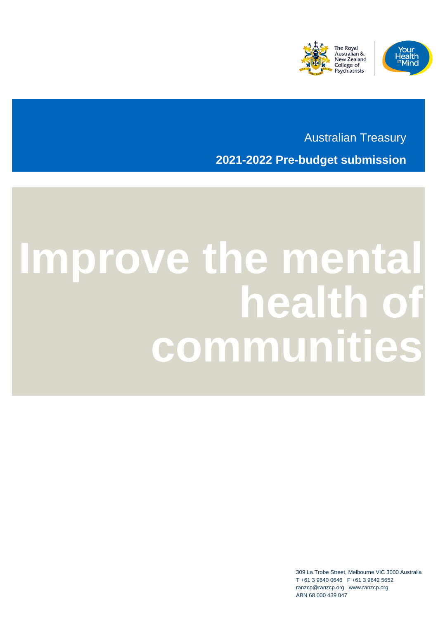



Australian Treasury **2021-2022 Pre-budget submission**

# **Improve the mental health of communities**

309 La Trobe Street, Melbourne VIC 3000 Australia T +61 3 9640 0646 F +61 3 9642 5652 ranzcp@ranzcp.org www.ranzcp.org ABN 68 000 439 047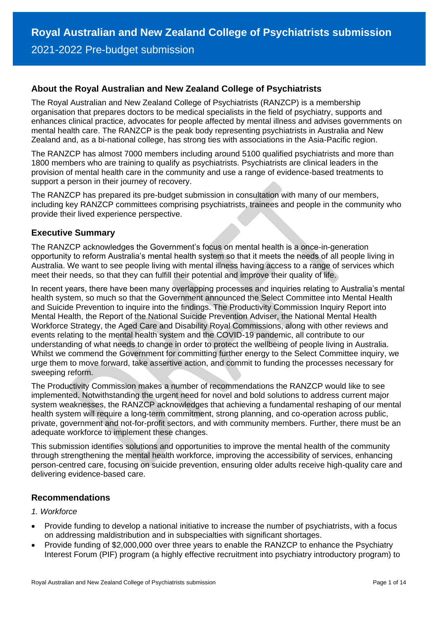## **About the Royal Australian and New Zealand College of Psychiatrists**

The Royal Australian and New Zealand College of Psychiatrists (RANZCP) is a membership organisation that prepares doctors to be medical specialists in the field of psychiatry, supports and enhances clinical practice, advocates for people affected by mental illness and advises governments on mental health care. The RANZCP is the peak body representing psychiatrists in Australia and New Zealand and, as a bi-national college, has strong ties with associations in the Asia-Pacific region.

The RANZCP has almost 7000 members including around 5100 qualified psychiatrists and more than 1800 members who are training to qualify as psychiatrists. Psychiatrists are clinical leaders in the provision of mental health care in the community and use a range of evidence-based treatments to support a person in their journey of recovery.

The RANZCP has prepared its pre-budget submission in consultation with many of our members, including key RANZCP committees comprising psychiatrists, trainees and people in the community who provide their lived experience perspective.

## **Executive Summary**

The RANZCP acknowledges the Government's focus on mental health is a once-in-generation opportunity to reform Australia's mental health system so that it meets the needs of all people living in Australia. We want to see people living with mental illness having access to a range of services which meet their needs, so that they can fulfill their potential and improve their quality of life.

In recent years, there have been many overlapping processes and inquiries relating to Australia's mental health system, so much so that the Government announced the Select Committee into Mental Health and Suicide Prevention to inquire into the findings. The Productivity Commission Inquiry Report into Mental Health, the Report of the National Suicide Prevention Adviser, the National Mental Health Workforce Strategy, the Aged Care and Disability Royal Commissions, along with other reviews and events relating to the mental health system and the COVID-19 pandemic, all contribute to our understanding of what needs to change in order to protect the wellbeing of people living in Australia. Whilst we commend the Government for committing further energy to the Select Committee inquiry, we urge them to move forward, take assertive action, and commit to funding the processes necessary for sweeping reform.

The Productivity Commission makes a number of recommendations the RANZCP would like to see implemented. Notwithstanding the urgent need for novel and bold solutions to address current major system weaknesses, the RANZCP acknowledges that achieving a fundamental reshaping of our mental health system will require a long-term commitment, strong planning, and co-operation across public, private, government and not-for-profit sectors, and with community members. Further, there must be an adequate workforce to implement these changes.

This submission identifies solutions and opportunities to improve the mental health of the community through strengthening the mental health workforce, improving the accessibility of services, enhancing person-centred care, focusing on suicide prevention, ensuring older adults receive high-quality care and delivering evidence-based care.

## **Recommendations**

#### *1. Workforce*

- Provide funding to develop a national initiative to increase the number of psychiatrists, with a focus on addressing maldistribution and in subspecialties with significant shortages.
- Provide funding of \$2,000,000 over three years to enable the RANZCP to enhance the Psychiatry Interest Forum (PIF) program (a highly effective recruitment into psychiatry introductory program) to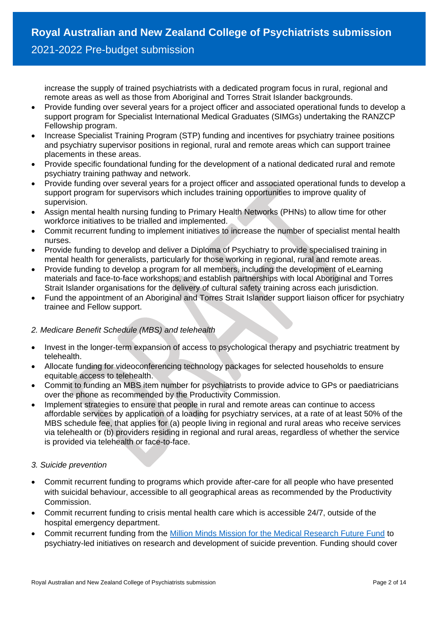increase the supply of trained psychiatrists with a dedicated program focus in rural, regional and remote areas as well as those from Aboriginal and Torres Strait Islander backgrounds.

- Provide funding over several years for a project officer and associated operational funds to develop a support program for Specialist International Medical Graduates (SIMGs) undertaking the RANZCP Fellowship program.
- Increase Specialist Training Program (STP) funding and incentives for psychiatry trainee positions and psychiatry supervisor positions in regional, rural and remote areas which can support trainee placements in these areas.
- Provide specific foundational funding for the development of a national dedicated rural and remote psychiatry training pathway and network.
- Provide funding over several years for a project officer and associated operational funds to develop a support program for supervisors which includes training opportunities to improve quality of supervision.
- Assign mental health nursing funding to Primary Health Networks (PHNs) to allow time for other workforce initiatives to be trialled and implemented.
- Commit recurrent funding to implement initiatives to increase the number of specialist mental health nurses.
- Provide funding to develop and deliver a Diploma of Psychiatry to provide specialised training in mental health for generalists, particularly for those working in regional, rural and remote areas.
- Provide funding to develop a program for all members, including the development of eLearning materials and face-to-face workshops, and establish partnerships with local Aboriginal and Torres Strait Islander organisations for the delivery of cultural safety training across each jurisdiction.
- Fund the appointment of an Aboriginal and Torres Strait Islander support liaison officer for psychiatry trainee and Fellow support.

## *2. Medicare Benefit Schedule (MBS) and telehealth*

- Invest in the longer-term expansion of access to psychological therapy and psychiatric treatment by telehealth.
- Allocate funding for videoconferencing technology packages for selected households to ensure equitable access to telehealth.
- Commit to funding an MBS item number for psychiatrists to provide advice to GPs or paediatricians over the phone as recommended by the Productivity Commission.
- Implement strategies to ensure that people in rural and remote areas can continue to access affordable services by application of a loading for psychiatry services, at a rate of at least 50% of the MBS schedule fee, that applies for (a) people living in regional and rural areas who receive services via telehealth or (b) providers residing in regional and rural areas, regardless of whether the service is provided via telehealth or face-to-face.

## *3. Suicide prevention*

- Commit recurrent funding to programs which provide after-care for all people who have presented with suicidal behaviour, accessible to all geographical areas as recommended by the Productivity Commission.
- Commit recurrent funding to crisis mental health care which is accessible 24/7, outside of the hospital emergency department.
- Commit recurrent funding from the [Million Minds Mission for the Medical Research Future Fund](https://www.health.gov.au/sites/default/files/the-million-minds-mission-roadmap.pdf) to psychiatry-led initiatives on research and development of suicide prevention. Funding should cover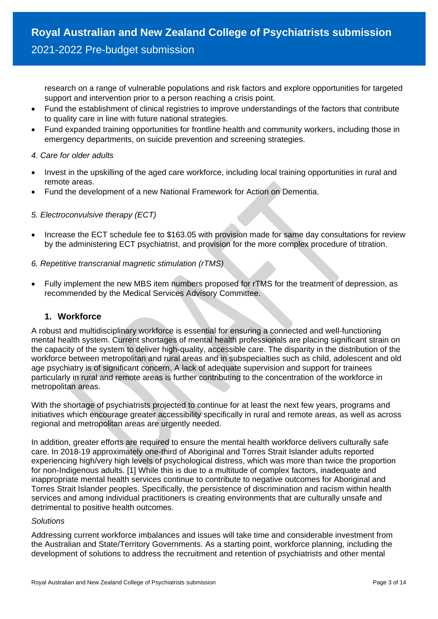research on a range of vulnerable populations and risk factors and explore opportunities for targeted support and intervention prior to a person reaching a crisis point.

- Fund the establishment of clinical registries to improve understandings of the factors that contribute to quality care in line with future national strategies.
- Fund expanded training opportunities for frontline health and community workers, including those in emergency departments, on suicide prevention and screening strategies.

#### *4. Care for older adults*

- Invest in the upskilling of the aged care workforce, including local training opportunities in rural and remote areas.
- Fund the development of a new National Framework for Action on Dementia.

#### *5. Electroconvulsive therapy (ECT)*

• Increase the ECT schedule fee to \$163.05 with provision made for same day consultations for review by the administering ECT psychiatrist, and provision for the more complex procedure of titration.

#### *6. Repetitive transcranial magnetic stimulation (rTMS)*

• Fully implement the new MBS item numbers proposed for rTMS for the treatment of depression, as recommended by the Medical Services Advisory Committee.

## **1. Workforce**

A robust and multidisciplinary workforce is essential for ensuring a connected and well-functioning mental health system. Current shortages of mental health professionals are placing significant strain on the capacity of the system to deliver high-quality, accessible care. The disparity in the distribution of the workforce between metropolitan and rural areas and in subspecialties such as child, adolescent and old age psychiatry is of significant concern. A lack of adequate supervision and support for trainees particularly in rural and remote areas is further contributing to the concentration of the workforce in metropolitan areas.

With the shortage of psychiatrists projected to continue for at least the next few years, programs and initiatives which encourage greater accessibility specifically in rural and remote areas, as well as across regional and metropolitan areas are urgently needed.

In addition, greater efforts are required to ensure the mental health workforce delivers culturally safe care. In 2018-19 approximately one-third of Aboriginal and Torres Strait Islander adults reported experiencing high/very high levels of psychological distress, which was more than twice the proportion for non-Indigenous adults. [1] While this is due to a multitude of complex factors, inadequate and inappropriate mental health services continue to contribute to negative outcomes for Aboriginal and Torres Strait Islander peoples. Specifically, the persistence of discrimination and racism within health services and among individual practitioners is creating environments that are culturally unsafe and detrimental to positive health outcomes.

#### *Solutions*

Addressing current workforce imbalances and issues will take time and considerable investment from the Australian and State/Territory Governments. As a starting point, workforce planning, including the development of solutions to address the recruitment and retention of psychiatrists and other mental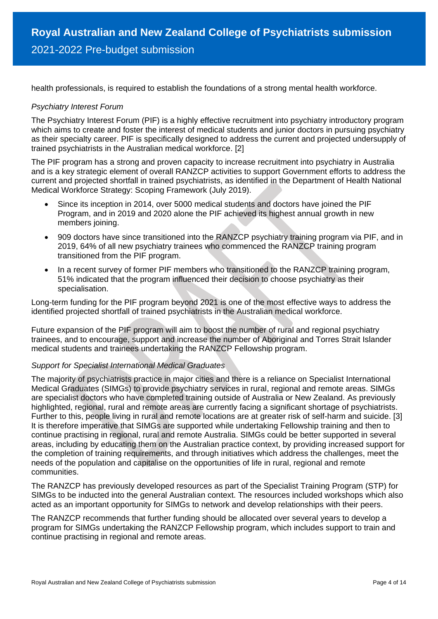health professionals, is required to establish the foundations of a strong mental health workforce.

#### *Psychiatry Interest Forum*

The Psychiatry Interest Forum (PIF) is a highly effective recruitment into psychiatry introductory program which aims to create and foster the interest of medical students and junior doctors in pursuing psychiatry as their specialty career. PIF is specifically designed to address the current and projected undersupply of trained psychiatrists in the Australian medical workforce. [2]

The PIF program has a strong and proven capacity to increase recruitment into psychiatry in Australia and is a key strategic element of overall RANZCP activities to support Government efforts to address the current and projected shortfall in trained psychiatrists, as identified in the Department of Health National Medical Workforce Strategy: Scoping Framework (July 2019).

- Since its inception in 2014, over 5000 medical students and doctors have joined the PIF Program, and in 2019 and 2020 alone the PIF achieved its highest annual growth in new members joining.
- 909 doctors have since transitioned into the RANZCP psychiatry training program via PIF, and in 2019, 64% of all new psychiatry trainees who commenced the RANZCP training program transitioned from the PIF program.
- In a recent survey of former PIF members who transitioned to the RANZCP training program, 51% indicated that the program influenced their decision to choose psychiatry as their specialisation.

Long-term funding for the PIF program beyond 2021 is one of the most effective ways to address the identified projected shortfall of trained psychiatrists in the Australian medical workforce.

Future expansion of the PIF program will aim to boost the number of rural and regional psychiatry trainees, and to encourage, support and increase the number of Aboriginal and Torres Strait Islander medical students and trainees undertaking the RANZCP Fellowship program.

#### *Support for Specialist International Medical Graduates*

The majority of psychiatrists practice in major cities and there is a reliance on Specialist International Medical Graduates (SIMGs) to provide psychiatry services in rural, regional and remote areas. SIMGs are specialist doctors who have completed training outside of Australia or New Zealand. As previously highlighted, regional, rural and remote areas are currently facing a significant shortage of psychiatrists. Further to this, people living in rural and remote locations are at greater risk of self-harm and suicide. [3] It is therefore imperative that SIMGs are supported while undertaking Fellowship training and then to continue practising in regional, rural and remote Australia. SIMGs could be better supported in several areas, including by educating them on the Australian practice context, by providing increased support for the completion of training requirements, and through initiatives which address the challenges, meet the needs of the population and capitalise on the opportunities of life in rural, regional and remote communities.

The RANZCP has previously developed resources as part of the Specialist Training Program (STP) for SIMGs to be inducted into the general Australian context. The resources included workshops which also acted as an important opportunity for SIMGs to network and develop relationships with their peers.

The RANZCP recommends that further funding should be allocated over several years to develop a program for SIMGs undertaking the RANZCP Fellowship program, which includes support to train and continue practising in regional and remote areas.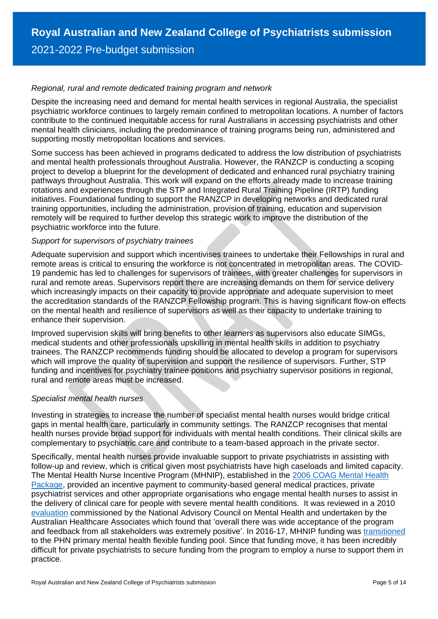#### *Regional, rural and remote dedicated training program and network*

Despite the increasing need and demand for mental health services in regional Australia, the specialist psychiatric workforce continues to largely remain confined to metropolitan locations. A number of factors contribute to the continued inequitable access for rural Australians in accessing psychiatrists and other mental health clinicians, including the predominance of training programs being run, administered and supporting mostly metropolitan locations and services.

Some success has been achieved in programs dedicated to address the low distribution of psychiatrists and mental health professionals throughout Australia. However, the RANZCP is conducting a scoping project to develop a blueprint for the development of dedicated and enhanced rural psychiatry training pathways throughout Australia. This work will expand on the efforts already made to increase training rotations and experiences through the STP and Integrated Rural Training Pipeline (IRTP) funding initiatives. Foundational funding to support the RANZCP in developing networks and dedicated rural training opportunities, including the administration, provision of training, education and supervision remotely will be required to further develop this strategic work to improve the distribution of the psychiatric workforce into the future.

#### *Support for supervisors of psychiatry trainees*

Adequate supervision and support which incentivises trainees to undertake their Fellowships in rural and remote areas is critical to ensuring the workforce is not concentrated in metropolitan areas. The COVID-19 pandemic has led to challenges for supervisors of trainees, with greater challenges for supervisors in rural and remote areas. Supervisors report there are increasing demands on them for service delivery which increasingly impacts on their capacity to provide appropriate and adequate supervision to meet the accreditation standards of the RANZCP Fellowship program. This is having significant flow-on effects on the mental health and resilience of supervisors as well as their capacity to undertake training to enhance their supervision.

Improved supervision skills will bring benefits to other learners as supervisors also educate SIMGs, medical students and other professionals upskilling in mental health skills in addition to psychiatry trainees. The RANZCP recommends funding should be allocated to develop a program for supervisors which will improve the quality of supervision and support the resilience of supervisors. Further, STP funding and incentives for psychiatry trainee positions and psychiatry supervisor positions in regional, rural and remote areas must be increased.

#### *Specialist mental health nurses*

Investing in strategies to increase the number of specialist mental health nurses would bridge critical gaps in mental health care, particularly in community settings. The RANZCP recognises that mental health nurses provide broad support for individuals with mental health conditions. Their clinical skills are complementary to psychiatric care and contribute to a team-based approach in the private sector.

Specifically, mental health nurses provide invaluable support to private psychiatrists in assisting with follow-up and review, which is critical given most psychiatrists have high caseloads and limited capacity. The Mental Health Nurse Incentive Program (MHNIP), established in the [2006 COAG Mental Health](https://aus01.safelinks.protection.outlook.com/?url=https%3A%2F%2Fwww.mhpn.org.au%2FUploads%2FDocuments%2FAHMC_COAG_mental_health.pdf&data=04%7C01%7CFelicity.Kenn%40ranzcp.org%7C3039003e42ae419ea3bd08d873e7d70a%7Ce51012c230414e06bba86683c0fd0b56%7C0%7C0%7C637386786898303235%7CUnknown%7CTWFpbGZsb3d8eyJWIjoiMC4wLjAwMDAiLCJQIjoiV2luMzIiLCJBTiI6Ik1haWwiLCJXVCI6Mn0%3D%7C1000&sdata=GnU%2FhqZICXMFup5jQ756GvnIAdEttQ5EUswo0Tbb9z0%3D&reserved=0)  [Package,](https://aus01.safelinks.protection.outlook.com/?url=https%3A%2F%2Fwww.mhpn.org.au%2FUploads%2FDocuments%2FAHMC_COAG_mental_health.pdf&data=04%7C01%7CFelicity.Kenn%40ranzcp.org%7C3039003e42ae419ea3bd08d873e7d70a%7Ce51012c230414e06bba86683c0fd0b56%7C0%7C0%7C637386786898303235%7CUnknown%7CTWFpbGZsb3d8eyJWIjoiMC4wLjAwMDAiLCJQIjoiV2luMzIiLCJBTiI6Ik1haWwiLCJXVCI6Mn0%3D%7C1000&sdata=GnU%2FhqZICXMFup5jQ756GvnIAdEttQ5EUswo0Tbb9z0%3D&reserved=0) provided an incentive payment to community-based general medical practices, private psychiatrist services and other appropriate organisations who engage mental health nurses to assist in the delivery of clinical care for people with severe mental health conditions. It was reviewed in a 2010 [evaluation](https://aus01.safelinks.protection.outlook.com/?url=https%3A%2F%2Fwww.ahaconsulting.com.au%2Fprojects%2Fcase-study-of-the-mental-health-nurse-incentive-program%2F&data=04%7C01%7CFelicity.Kenn%40ranzcp.org%7C3039003e42ae419ea3bd08d873e7d70a%7Ce51012c230414e06bba86683c0fd0b56%7C0%7C0%7C637386786898313182%7CUnknown%7CTWFpbGZsb3d8eyJWIjoiMC4wLjAwMDAiLCJQIjoiV2luMzIiLCJBTiI6Ik1haWwiLCJXVCI6Mn0%3D%7C1000&sdata=o%2BQnTizuqhVp%2Bwwy98WjqPanRsRNZ%2Fpz%2BjN%2BW%2B4DT1A%3D&reserved=0) commissioned by the National Advisory Council on Mental Health and undertaken by the Australian Healthcare Associates which found that 'overall there was wide acceptance of the program and feedback from all stakeholders was extremely positive'. In 2016-17, MHNIP funding was [transitioned](https://aus01.safelinks.protection.outlook.com/?url=https%3A%2F%2Fwww.semphn.org.au%2Fimages%2Fdownloads%2FMHNIP%2520The%2520National%2520MHNIP%2520Guidelines.pdf&data=04%7C01%7CFelicity.Kenn%40ranzcp.org%7C3039003e42ae419ea3bd08d873e7d70a%7Ce51012c230414e06bba86683c0fd0b56%7C0%7C0%7C637386786898313182%7CUnknown%7CTWFpbGZsb3d8eyJWIjoiMC4wLjAwMDAiLCJQIjoiV2luMzIiLCJBTiI6Ik1haWwiLCJXVCI6Mn0%3D%7C1000&sdata=jjCOvmfGcwYbSoE44919cTwRNhQ0E0eWt2e97rAnefo%3D&reserved=0) to the PHN primary mental health flexible funding pool. Since that funding move, it has been incredibly difficult for private psychiatrists to secure funding from the program to employ a nurse to support them in practice.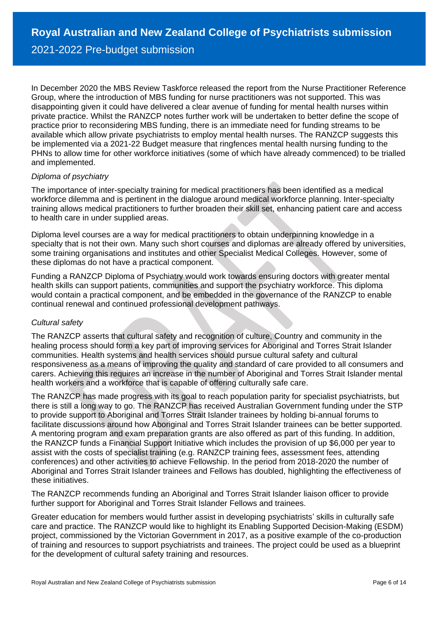In December 2020 the MBS Review Taskforce released the report from the Nurse Practitioner Reference Group, where the introduction of MBS funding for nurse practitioners was not supported. This was disappointing given it could have delivered a clear avenue of funding for mental health nurses within private practice. Whilst the RANZCP notes further work will be undertaken to better define the scope of practice prior to reconsidering MBS funding, there is an immediate need for funding streams to be available which allow private psychiatrists to employ mental health nurses. The RANZCP suggests this be implemented via a 2021-22 Budget measure that ringfences mental health nursing funding to the PHNs to allow time for other workforce initiatives (some of which have already commenced) to be trialled and implemented.

#### *Diploma of psychiatry*

The importance of inter-specialty training for medical practitioners has been identified as a medical workforce dilemma and is pertinent in the dialogue around medical workforce planning. Inter-specialty training allows medical practitioners to further broaden their skill set, enhancing patient care and access to health care in under supplied areas.

Diploma level courses are a way for medical practitioners to obtain underpinning knowledge in a specialty that is not their own. Many such short courses and diplomas are already offered by universities, some training organisations and institutes and other Specialist Medical Colleges. However, some of these diplomas do not have a practical component.

Funding a RANZCP Diploma of Psychiatry would work towards ensuring doctors with greater mental health skills can support patients, communities and support the psychiatry workforce. This diploma would contain a practical component, and be embedded in the governance of the RANZCP to enable continual renewal and continued professional development pathways.

## *Cultural safety*

The RANZCP asserts that cultural safety and recognition of culture, Country and community in the healing process should form a key part of improving services for Aboriginal and Torres Strait Islander communities. Health systems and health services should pursue cultural safety and cultural responsiveness as a means of improving the quality and standard of care provided to all consumers and carers. Achieving this requires an increase in the number of Aboriginal and Torres Strait Islander mental health workers and a workforce that is capable of offering culturally safe care.

The RANZCP has made progress with its goal to reach population parity for specialist psychiatrists, but there is still a long way to go. The RANZCP has received Australian Government funding under the STP to provide support to Aboriginal and Torres Strait Islander trainees by holding bi-annual forums to facilitate discussions around how Aboriginal and Torres Strait Islander trainees can be better supported. A mentoring program and exam preparation grants are also offered as part of this funding. In addition, the RANZCP funds a Financial Support Initiative which includes the provision of up \$6,000 per year to assist with the costs of specialist training (e.g. RANZCP training fees, assessment fees, attending conferences) and other activities to achieve Fellowship. In the period from 2018-2020 the number of Aboriginal and Torres Strait Islander trainees and Fellows has doubled, highlighting the effectiveness of these initiatives.

The RANZCP recommends funding an Aboriginal and Torres Strait Islander liaison officer to provide further support for Aboriginal and Torres Strait Islander Fellows and trainees.

Greater education for members would further assist in developing psychiatrists' skills in culturally safe care and practice. The RANZCP would like to highlight its Enabling Supported Decision-Making (ESDM) project, commissioned by the Victorian Government in 2017, as a positive example of the co-production of training and resources to support psychiatrists and trainees. The project could be used as a blueprint for the development of cultural safety training and resources.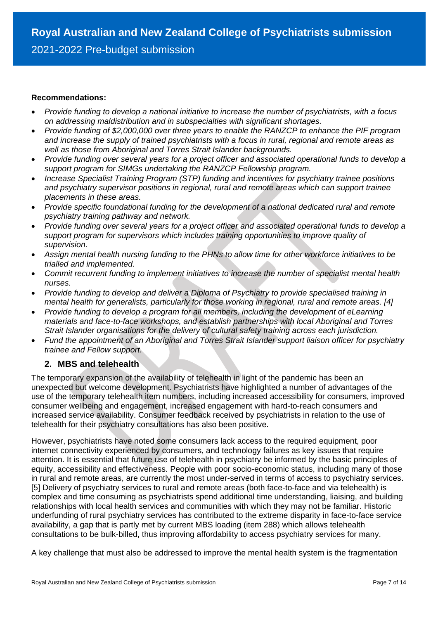#### **Recommendations:**

- *Provide funding to develop a national initiative to increase the number of psychiatrists, with a focus on addressing maldistribution and in subspecialties with significant shortages.*
- *Provide funding of \$2,000,000 over three years to enable the RANZCP to enhance the PIF program and increase the supply of trained psychiatrists with a focus in rural, regional and remote areas as well as those from Aboriginal and Torres Strait Islander backgrounds.*
- *Provide funding over several years for a project officer and associated operational funds to develop a support program for SIMGs undertaking the RANZCP Fellowship program.*
- *Increase Specialist Training Program (STP) funding and incentives for psychiatry trainee positions and psychiatry supervisor positions in regional, rural and remote areas which can support trainee placements in these areas.*
- *Provide specific foundational funding for the development of a national dedicated rural and remote psychiatry training pathway and network.*
- *Provide funding over several years for a project officer and associated operational funds to develop a support program for supervisors which includes training opportunities to improve quality of supervision.*
- *Assign mental health nursing funding to the PHNs to allow time for other workforce initiatives to be trialled and implemented.*
- *Commit recurrent funding to implement initiatives to increase the number of specialist mental health nurses.*
- *Provide funding to develop and deliver a Diploma of Psychiatry to provide specialised training in mental health for generalists, particularly for those working in regional, rural and remote areas. [4]*
- *Provide funding to develop a program for all members, including the development of eLearning materials and face-to-face workshops, and establish partnerships with local Aboriginal and Torres Strait Islander organisations for the delivery of cultural safety training across each jurisdiction.*
- *Fund the appointment of an Aboriginal and Torres Strait Islander support liaison officer for psychiatry trainee and Fellow support.*

## **2. MBS and telehealth**

The temporary expansion of the availability of telehealth in light of the pandemic has been an unexpected but welcome development. Psychiatrists have highlighted a number of advantages of the use of the temporary telehealth item numbers, including increased accessibility for consumers, improved consumer wellbeing and engagement, increased engagement with hard-to-reach consumers and increased service availability. Consumer feedback received by psychiatrists in relation to the use of telehealth for their psychiatry consultations has also been positive.

However, psychiatrists have noted some consumers lack access to the required equipment, poor internet connectivity experienced by consumers, and technology failures as key issues that require attention. It is essential that future use of telehealth in psychiatry be informed by the basic principles of equity, accessibility and effectiveness. People with poor socio-economic status, including many of those in rural and remote areas, are currently the most under-served in terms of access to psychiatry services. [5] Delivery of psychiatry services to rural and remote areas (both face-to-face and via telehealth) is complex and time consuming as psychiatrists spend additional time understanding, liaising, and building relationships with local health services and communities with which they may not be familiar. Historic underfunding of rural psychiatry services has contributed to the extreme disparity in face-to-face service availability, a gap that is partly met by current MBS loading (item 288) which allows telehealth consultations to be bulk-billed, thus improving affordability to access psychiatry services for many.

A key challenge that must also be addressed to improve the mental health system is the fragmentation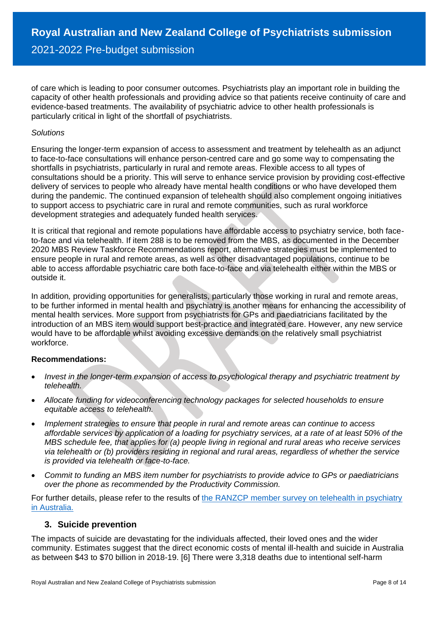of care which is leading to poor consumer outcomes. Psychiatrists play an important role in building the capacity of other health professionals and providing advice so that patients receive continuity of care and evidence-based treatments. The availability of psychiatric advice to other health professionals is particularly critical in light of the shortfall of psychiatrists.

#### *Solutions*

Ensuring the longer-term expansion of access to assessment and treatment by telehealth as an adjunct to face-to-face consultations will enhance person-centred care and go some way to compensating the shortfalls in psychiatrists, particularly in rural and remote areas. Flexible access to all types of consultations should be a priority. This will serve to enhance service provision by providing cost-effective delivery of services to people who already have mental health conditions or who have developed them during the pandemic. The continued expansion of telehealth should also complement ongoing initiatives to support access to psychiatric care in rural and remote communities, such as rural workforce development strategies and adequately funded health services.

It is critical that regional and remote populations have affordable access to psychiatry service, both faceto-face and via telehealth. If item 288 is to be removed from the MBS, as documented in the December 2020 MBS Review Taskforce Recommendations report, alternative strategies must be implemented to ensure people in rural and remote areas, as well as other disadvantaged populations, continue to be able to access affordable psychiatric care both face-to-face and via telehealth either within the MBS or outside it.

In addition*,* providing opportunities for generalists, particularly those working in rural and remote areas, to be further informed in mental health and psychiatry is another means for enhancing the accessibility of mental health services. More support from psychiatrists for GPs and paediatricians facilitated by the introduction of an MBS item would support best-practice and integrated care. However, any new service would have to be affordable whilst avoiding excessive demands on the relatively small psychiatrist workforce.

#### **Recommendations:**

- *Invest in the longer-term expansion of access to psychological therapy and psychiatric treatment by telehealth.*
- *Allocate funding for videoconferencing technology packages for selected households to ensure equitable access to telehealth.*
- *Implement strategies to ensure that people in rural and remote areas can continue to access affordable services by application of a loading for psychiatry services, at a rate of at least 50% of the MBS schedule fee, that applies for (a) people living in regional and rural areas who receive services via telehealth or (b) providers residing in regional and rural areas, regardless of whether the service is provided via telehealth or face-to-face.*
- *Commit to funding an MBS item number for psychiatrists to provide advice to GPs or paediatricians over the phone as recommended by the Productivity Commission.*

For further details, please refer to the results of [the RANZCP member survey on telehealth in psychiatry](https://www.ranzcp.org/files/communications/pdfs/ranzcp-telehealth-member-survey-report.aspx)  [in Australia.](https://www.ranzcp.org/files/communications/pdfs/ranzcp-telehealth-member-survey-report.aspx) 

## **3. Suicide prevention**

The impacts of suicide are devastating for the individuals affected, their loved ones and the wider community. Estimates suggest that the direct economic costs of mental ill-health and suicide in Australia as between \$43 to \$70 billion in 2018-19. [6] There were 3,318 deaths due to intentional self-harm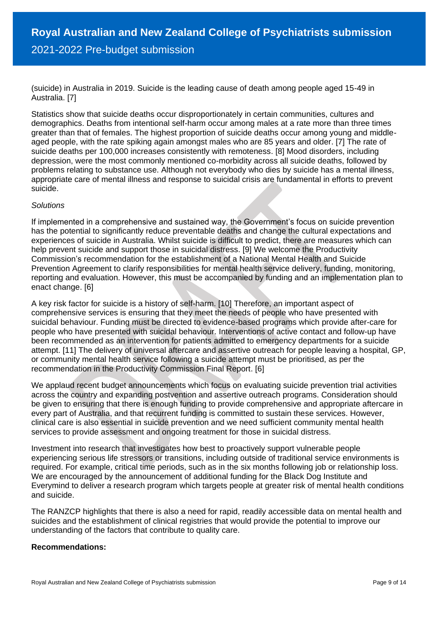(suicide) in Australia in 2019. Suicide is the leading cause of death among people aged 15-49 in Australia. [7]

Statistics show that suicide deaths occur disproportionately in certain communities, cultures and demographics. Deaths from intentional self-harm occur among males at a rate more than three times greater than that of females. The highest proportion of suicide deaths occur among young and middleaged people, with the rate spiking again amongst males who are 85 years and older. [7] The rate of suicide deaths per 100,000 increases consistently with remoteness. [8] Mood disorders, including depression, were the most commonly mentioned co-morbidity across all suicide deaths, followed by problems relating to substance use. Although not everybody who dies by suicide has a mental illness, appropriate care of mental illness and response to suicidal crisis are fundamental in efforts to prevent suicide.

#### *Solutions*

If implemented in a comprehensive and sustained way, the Government's focus on suicide prevention has the potential to significantly reduce preventable deaths and change the cultural expectations and experiences of suicide in Australia. Whilst suicide is difficult to predict, there are measures which can help prevent suicide and support those in suicidal distress. [9] We welcome the Productivity Commission's recommendation for the establishment of a National Mental Health and Suicide Prevention Agreement to clarify responsibilities for mental health service delivery, funding, monitoring, reporting and evaluation. However, this must be accompanied by funding and an implementation plan to enact change. [6]

A key risk factor for suicide is a history of self-harm. [10] Therefore, an important aspect of comprehensive services is ensuring that they meet the needs of people who have presented with suicidal behaviour. Funding must be directed to evidence-based programs which provide after-care for people who have presented with suicidal behaviour. Interventions of active contact and follow-up have been recommended as an intervention for patients admitted to emergency departments for a suicide attempt. [11] The delivery of universal aftercare and assertive outreach for people leaving a hospital, GP, or community mental health service following a suicide attempt must be prioritised, as per the recommendation in the Productivity Commission Final Report. [6]

We applaud recent budget announcements which focus on evaluating suicide prevention trial activities across the country and expanding postvention and assertive outreach programs. Consideration should be given to ensuring that there is enough funding to provide comprehensive and appropriate aftercare in every part of Australia, and that recurrent funding is committed to sustain these services. However, clinical care is also essential in suicide prevention and we need sufficient community mental health services to provide assessment and ongoing treatment for those in suicidal distress.

Investment into research that investigates how best to proactively support vulnerable people experiencing serious life stressors or transitions, including outside of traditional service environments is required. For example, critical time periods, such as in the six months following job or relationship loss. We are encouraged by the announcement of additional funding for the Black Dog Institute and Everymind to deliver a research program which targets people at greater risk of mental health conditions and suicide.

The RANZCP highlights that there is also a need for rapid, readily accessible data on mental health and suicides and the establishment of clinical registries that would provide the potential to improve our understanding of the factors that contribute to quality care.

#### **Recommendations:**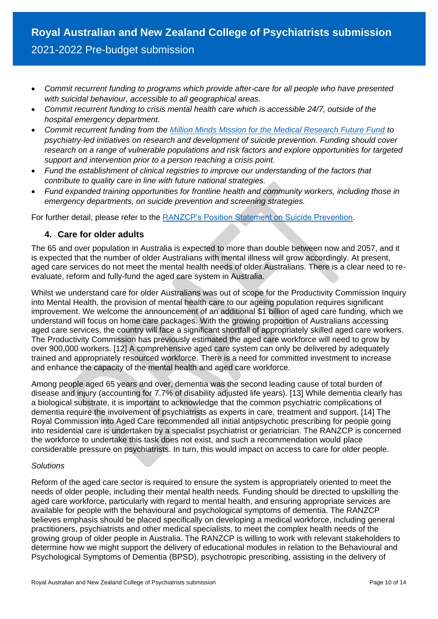- *Commit recurrent funding to programs which provide after-care for all people who have presented with suicidal behaviour, accessible to all geographical areas.*
- *Commit recurrent funding to crisis mental health care which is accessible 24/7, outside of the hospital emergency department.*
- *Commit recurrent funding from the [Million Minds Mission for the Medical Research Future Fund](https://www.health.gov.au/sites/default/files/the-million-minds-mission-roadmap.pdf) to psychiatry-led initiatives on research and development of suicide prevention. Funding should cover research on a range of vulnerable populations and risk factors and explore opportunities for targeted support and intervention prior to a person reaching a crisis point.*
- *Fund the establishment of clinical registries to improve our understanding of the factors that contribute to quality care in line with future national strategies.*
- *Fund expanded training opportunities for frontline health and community workers, including those in emergency departments, on suicide prevention and screening strategies.*

For further detail, please refer to the [RANZCP's Position Statement on Suicide Prevention.](https://www.ranzcp.org/news-policy/policy-and-advocacy/position-statements/suicide-prevention-%E2%80%93-the-role-of-psychiatry)

## **4. Care for older adults**

The 65 and over population in Australia is expected to more than double between now and 2057, and it is expected that the number of older Australians with mental illness will grow accordingly. At present, aged care services do not meet the mental health needs of older Australians. There is a clear need to reevaluate, reform and fully-fund the aged care system in Australia.

Whilst we understand care for older Australians was out of scope for the Productivity Commission Inquiry into Mental Health, the provision of mental health care to our ageing population requires significant improvement. We welcome the announcement of an additional \$1 billion of aged care funding, which we understand will focus on home care packages. With the growing proportion of Australians accessing aged care services, the country will face a significant shortfall of appropriately skilled aged care workers. The Productivity Commission has previously estimated the aged care workforce will need to grow by over 900,000 workers. [12] A comprehensive aged care system can only be delivered by adequately trained and appropriately resourced workforce. There is a need for committed investment to increase and enhance the capacity of the mental health and aged care workforce.

Among people aged 65 years and over, dementia was the second leading cause of total burden of disease and injury (accounting for 7.7% of disability adjusted life years). [13] While dementia clearly has a biological substrate, it is important to acknowledge that the common psychiatric complications of dementia require the involvement of psychiatrists as experts in care, treatment and support. [14] The Royal Commission into Aged Care recommended all initial antipsychotic prescribing for people going into residential care is undertaken by a specialist psychiatrist or geriatrician. The RANZCP is concerned the workforce to undertake this task does not exist, and such a recommendation would place considerable pressure on psychiatrists. In turn, this would impact on access to care for older people.

#### *Solutions*

Reform of the aged care sector is required to ensure the system is appropriately oriented to meet the needs of older people, including their mental health needs. Funding should be directed to upskilling the aged care workforce, particularly with regard to mental health, and ensuring appropriate services are available for people with the behavioural and psychological symptoms of dementia. The RANZCP believes emphasis should be placed specifically on developing a medical workforce, including general practitioners, psychiatrists and other medical specialists, to meet the complex health needs of the growing group of older people in Australia. The RANZCP is willing to work with relevant stakeholders to determine how we might support the delivery of educational modules in relation to the Behavioural and Psychological Symptoms of Dementia (BPSD), psychotropic prescribing, assisting in the delivery of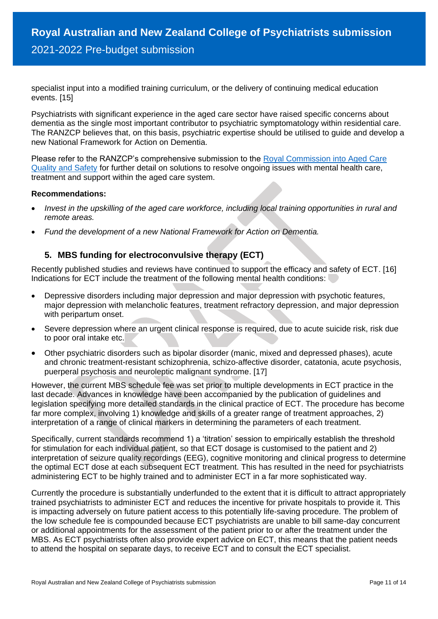specialist input into a modified training curriculum, or the delivery of continuing medical education events. [15]

Psychiatrists with significant experience in the aged care sector have raised specific concerns about dementia as the single most important contributor to psychiatric symptomatology within residential care. The RANZCP believes that, on this basis, psychiatric expertise should be utilised to guide and develop a new National Framework for Action on Dementia.

Please refer to the RANZCP's comprehensive submission to the [Royal Commission into Aged Care](https://www.ranzcp.org/files/resources/submissions/ranzcp-submission-to-royal-commission-on-aged-care.aspx#:~:text=The%20RANZCP%20is%20concerned%20that,positive%20outcomes%20for%20older%20people.)  [Quality and Safety](https://www.ranzcp.org/files/resources/submissions/ranzcp-submission-to-royal-commission-on-aged-care.aspx#:~:text=The%20RANZCP%20is%20concerned%20that,positive%20outcomes%20for%20older%20people.) for further detail on solutions to resolve ongoing issues with mental health care, treatment and support within the aged care system.

#### **Recommendations:**

- *Invest in the upskilling of the aged care workforce, including local training opportunities in rural and remote areas.*
- *Fund the development of a new National Framework for Action on Dementia.*

## **5. MBS funding for electroconvulsive therapy (ECT)**

Recently published studies and reviews have continued to support the efficacy and safety of ECT. [16] Indications for ECT include the treatment of the following mental health conditions:

- Depressive disorders including major depression and major depression with psychotic features, major depression with melancholic features, treatment refractory depression, and major depression with peripartum onset.
- Severe depression where an urgent clinical response is required, due to acute suicide risk, risk due to poor oral intake etc.
- Other psychiatric disorders such as bipolar disorder (manic, mixed and depressed phases), acute and chronic treatment-resistant schizophrenia, schizo-affective disorder, catatonia, acute psychosis, puerperal psychosis and neuroleptic malignant syndrome. [17]

However, the current MBS schedule fee was set prior to multiple developments in ECT practice in the last decade. Advances in knowledge have been accompanied by the publication of guidelines and legislation specifying more detailed standards in the clinical practice of ECT. The procedure has become far more complex, involving 1) knowledge and skills of a greater range of treatment approaches, 2) interpretation of a range of clinical markers in determining the parameters of each treatment.

Specifically, current standards recommend 1) a 'titration' session to empirically establish the threshold for stimulation for each individual patient, so that ECT dosage is customised to the patient and 2) interpretation of seizure quality recordings (EEG), cognitive monitoring and clinical progress to determine the optimal ECT dose at each subsequent ECT treatment. This has resulted in the need for psychiatrists administering ECT to be highly trained and to administer ECT in a far more sophisticated way.

Currently the procedure is substantially underfunded to the extent that it is difficult to attract appropriately trained psychiatrists to administer ECT and reduces the incentive for private hospitals to provide it. This is impacting adversely on future patient access to this potentially life-saving procedure. The problem of the low schedule fee is compounded because ECT psychiatrists are unable to bill same-day concurrent or additional appointments for the assessment of the patient prior to or after the treatment under the MBS. As ECT psychiatrists often also provide expert advice on ECT, this means that the patient needs to attend the hospital on separate days, to receive ECT and to consult the ECT specialist.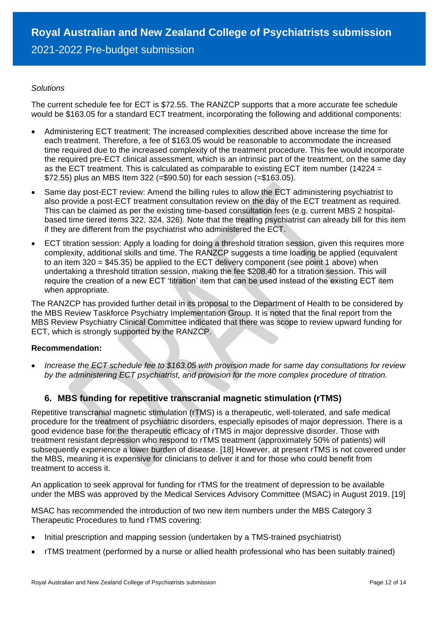#### *Solutions*

The current schedule fee for ECT is \$72.55. The RANZCP supports that a more accurate fee schedule would be \$163.05 for a standard ECT treatment, incorporating the following and additional components:

- Administering ECT treatment: The increased complexities described above increase the time for each treatment. Therefore, a fee of \$163.05 would be reasonable to accommodate the increased time required due to the increased complexity of the treatment procedure. This fee would incorporate the required pre-ECT clinical assessment, which is an intrinsic part of the treatment, on the same day as the ECT treatment. This is calculated as comparable to existing ECT item number (14224 = \$72.55) plus an MBS Item 322 (=\$90.50) for each session (=\$163.05).
- Same day post-ECT review: Amend the billing rules to allow the ECT administering psychiatrist to also provide a post-ECT treatment consultation review on the day of the ECT treatment as required. This can be claimed as per the existing time-based consultation fees (e.g. current MBS 2 hospitalbased time tiered items 322, 324, 326). Note that the treating psychiatrist can already bill for this item if they are different from the psychiatrist who administered the ECT.
- ECT titration session: Apply a loading for doing a threshold titration session, given this requires more complexity, additional skills and time. The RANZCP suggests a time loading be applied (equivalent to an item 320 = \$45.35) be applied to the ECT delivery component (see point 1 above) when undertaking a threshold titration session, making the fee \$208.40 for a titration session. This will require the creation of a new ECT 'titration' item that can be used instead of the existing ECT item when appropriate.

The RANZCP has provided further detail in its proposal to the Department of Health to be considered by the MBS Review Taskforce Psychiatry Implementation Group. It is noted that the final report from the MBS Review Psychiatry Clinical Committee indicated that there was scope to review upward funding for ECT, which is strongly supported by the RANZCP.

## **Recommendation:**

• *Increase the ECT schedule fee to \$163.05 with provision made for same day consultations for review by the administering ECT psychiatrist, and provision for the more complex procedure of titration.* 

## **6. MBS funding for repetitive transcranial magnetic stimulation (rTMS)**

Repetitive transcranial magnetic stimulation (rTMS) is a therapeutic, well-tolerated, and safe medical procedure for the treatment of psychiatric disorders, especially episodes of major depression. There is a good evidence base for the therapeutic efficacy of rTMS in major depressive disorder. Those with treatment resistant depression who respond to rTMS treatment (approximately 50% of patients) will subsequently experience a lower burden of disease. [18] However, at present rTMS is not covered under the MBS, meaning it is expensive for clinicians to deliver it and for those who could benefit from treatment to access it.

An application to seek approval for funding for rTMS for the treatment of depression to be available under the MBS was approved by the Medical Services Advisory Committee (MSAC) in August 2019. [19]

MSAC has recommended the introduction of two new item numbers under the MBS Category 3 Therapeutic Procedures to fund rTMS covering:

- Initial prescription and mapping session (undertaken by a TMS-trained psychiatrist)
- rTMS treatment (performed by a nurse or allied health professional who has been suitably trained)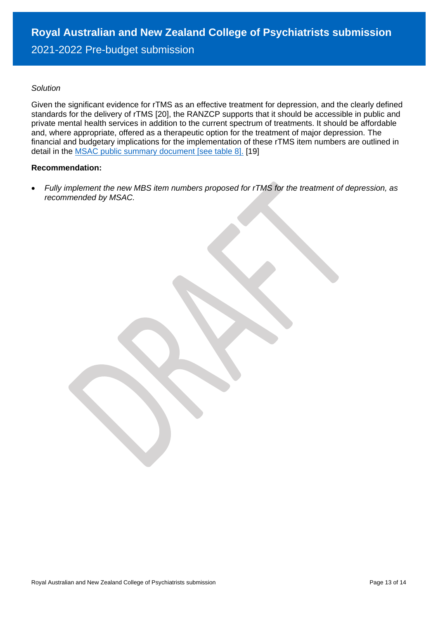#### *Solution*

Given the significant evidence for rTMS as an effective treatment for depression, and the clearly defined standards for the delivery of rTMS [20], the RANZCP supports that it should be accessible in public and private mental health services in addition to the current spectrum of treatments. It should be affordable and, where appropriate, offered as a therapeutic option for the treatment of major depression. The financial and budgetary implications for the implementation of these rTMS item numbers are outlined in detail in the [MSAC public summary document](http://www.msac.gov.au/internet/msac/publishing.nsf/Content/1196.2-public) [see table 8]. [19]

#### **Recommendation:**

• *Fully implement the new MBS item numbers proposed for rTMS for the treatment of depression, as recommended by MSAC.*

Royal Australian and New Zealand College of Psychiatrists submission Page 13 of 14